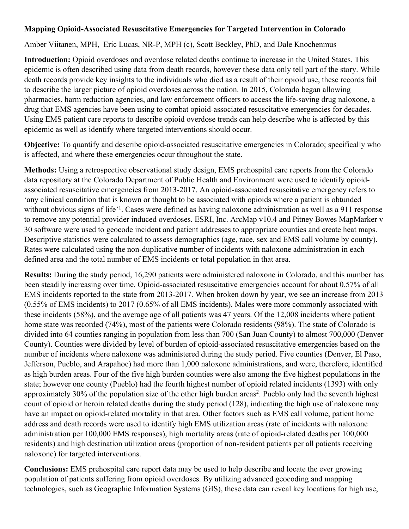## **Mapping Opioid-Associated Resuscitative Emergencies for Targeted Intervention in Colorado**

## Amber Viitanen, MPH, Eric Lucas, NR-P, MPH (c), Scott Beckley, PhD, and Dale Knochenmus

**Introduction:** Opioid overdoses and overdose related deaths continue to increase in the United States. This epidemic is often described using data from death records, however these data only tell part of the story. While death records provide key insights to the individuals who died as a result of their opioid use, these records fail to describe the larger picture of opioid overdoses across the nation. In 2015, Colorado began allowing pharmacies, harm reduction agencies, and law enforcement officers to access the life-saving drug naloxone, a drug that EMS agencies have been using to combat opioid-associated resuscitative emergencies for decades. Using EMS patient care reports to describe opioid overdose trends can help describe who is affected by this epidemic as well as identify where targeted interventions should occur.

**Objective:** To quantify and describe opioid-associated resuscitative emergencies in Colorado; specifically who is affected, and where these emergencies occur throughout the state.

**Methods:** Using a retrospective observational study design, EMS prehospital care reports from the Colorado data repository at the Colorado Department of Public Health and Environment were used to identify opioidassociated resuscitative emergencies from 2013-2017. An opioid-associated resuscitative emergency refers to 'any clinical condition that is known or thought to be associated with opioids where a patient is obtunded without obvious signs of life<sup>,1</sup>. Cases were defined as having naloxone administration as well as a 911 response to remove any potential provider induced overdoses. ESRI, Inc. ArcMap v10.4 and Pitney Bowes MapMarker v 30 software were used to geocode incident and patient addresses to appropriate counties and create heat maps. Descriptive statistics were calculated to assess demographics (age, race, sex and EMS call volume by county). Rates were calculated using the non-duplicative number of incidents with naloxone administration in each defined area and the total number of EMS incidents or total population in that area.

**Results:** During the study period, 16,290 patients were administered naloxone in Colorado, and this number has been steadily increasing over time. Opioid-associated resuscitative emergencies account for about 0.57% of all EMS incidents reported to the state from 2013-2017. When broken down by year, we see an increase from 2013 (0.55% of EMS incidents) to 2017 (0.65% of all EMS incidents). Males were more commonly associated with these incidents (58%), and the average age of all patients was 47 years. Of the 12,008 incidents where patient home state was recorded (74%), most of the patients were Colorado residents (98%). The state of Colorado is divided into 64 counties ranging in population from less than 700 (San Juan County) to almost 700,000 (Denver County). Counties were divided by level of burden of opioid-associated resuscitative emergencies based on the number of incidents where naloxone was administered during the study period. Five counties (Denver, El Paso, Jefferson, Pueblo, and Arapahoe) had more than 1,000 naloxone administrations, and were, therefore, identified as high burden areas. Four of the five high burden counties were also among the five highest populations in the state; however one county (Pueblo) had the fourth highest number of opioid related incidents (1393) with only approximately 30% of the population size of the other high burden areas<sup>2</sup>. Pueblo only had the seventh highest count of opioid or heroin related deaths during the study period (128), indicating the high use of naloxone may have an impact on opioid-related mortality in that area. Other factors such as EMS call volume, patient home address and death records were used to identify high EMS utilization areas (rate of incidents with naloxone administration per 100,000 EMS responses), high mortality areas (rate of opioid-related deaths per 100,000 residents) and high destination utilization areas (proportion of non-resident patients per all patients receiving naloxone) for targeted interventions.

**Conclusions:** EMS prehospital care report data may be used to help describe and locate the ever growing population of patients suffering from opioid overdoses. By utilizing advanced geocoding and mapping technologies, such as Geographic Information Systems (GIS), these data can reveal key locations for high use,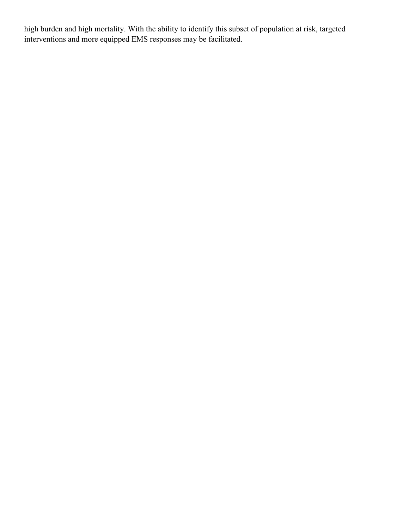high burden and high mortality. With the ability to identify this subset of population at risk, targeted interventions and more equipped EMS responses may be facilitated.